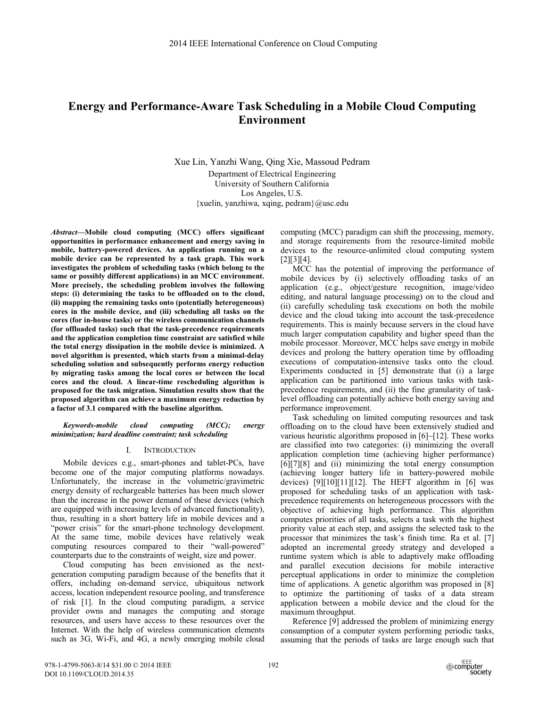# **Energy and Performance-Aware Task Scheduling in a Mobile Cloud Computing Environment**

Xue Lin, Yanzhi Wang, Qing Xie, Massoud Pedram Department of Electrical Engineering University of Southern California Los Angeles, U.S.  ${x$ uelin, yanzhiwa, xqing, pedram $(a)$ usc.edu

*Abstract***—Mobile cloud computing (MCC) offers significant opportunities in performance enhancement and energy saving in mobile, battery-powered devices. An application running on a mobile device can be represented by a task graph. This work investigates the problem of scheduling tasks (which belong to the same or possibly different applications) in an MCC environment. More precisely, the scheduling problem involves the following steps: (i) determining the tasks to be offloaded on to the cloud, (ii) mapping the remaining tasks onto (potentially heterogeneous) cores in the mobile device, and (iii) scheduling all tasks on the cores (for in-house tasks) or the wireless communication channels (for offloaded tasks) such that the task-precedence requirements and the application completion time constraint are satisfied while the total energy dissipation in the mobile device is minimized. A novel algorithm is presented, which starts from a minimal-delay scheduling solution and subsequently performs energy reduction by migrating tasks among the local cores or between the local cores and the cloud. A linear-time rescheduling algorithm is proposed for the task migration. Simulation results show that the proposed algorithm can achieve a maximum energy reduction by a factor of 3.1 compared with the baseline algorithm.** 

## *Keywords-mobile cloud computing (MCC); energy minimization; hard deadline constraint; task scheduling*

#### I. INTRODUCTION

Mobile devices e.g., smart-phones and tablet-PCs, have become one of the major computing platforms nowadays. Unfortunately, the increase in the volumetric/gravimetric energy density of rechargeable batteries has been much slower than the increase in the power demand of these devices (which are equipped with increasing levels of advanced functionality), thus, resulting in a short battery life in mobile devices and a "power crisis" for the smart-phone technology development. At the same time, mobile devices have relatively weak computing resources compared to their "wall-powered" counterparts due to the constraints of weight, size and power.

Cloud computing has been envisioned as the nextgeneration computing paradigm because of the benefits that it offers, including on-demand service, ubiquitous network access, location independent resource pooling, and transference of risk [1]. In the cloud computing paradigm, a service provider owns and manages the computing and storage resources, and users have access to these resources over the Internet. With the help of wireless communication elements such as 3G, Wi-Fi, and 4G, a newly emerging mobile cloud computing (MCC) paradigm can shift the processing, memory, and storage requirements from the resource-limited mobile devices to the resource-unlimited cloud computing system [2][3][4].

MCC has the potential of improving the performance of mobile devices by (i) selectively offloading tasks of an application (e.g., object/gesture recognition, image/video editing, and natural language processing) on to the cloud and (ii) carefully scheduling task executions on both the mobile device and the cloud taking into account the task-precedence requirements. This is mainly because servers in the cloud have much larger computation capability and higher speed than the mobile processor. Moreover, MCC helps save energy in mobile devices and prolong the battery operation time by offloading executions of computation-intensive tasks onto the cloud. Experiments conducted in [5] demonstrate that (i) a large application can be partitioned into various tasks with taskprecedence requirements, and (ii) the fine granularity of tasklevel offloading can potentially achieve both energy saving and performance improvement.

Task scheduling on limited computing resources and task offloading on to the cloud have been extensively studied and various heuristic algorithms proposed in [6]~[12]. These works are classified into two categories: (i) minimizing the overall application completion time (achieving higher performance) [6][7][8] and (ii) minimizing the total energy consumption (achieving longer battery life in battery-powered mobile devices) [9][10][11][12]. The HEFT algorithm in [6] was proposed for scheduling tasks of an application with taskprecedence requirements on heterogeneous processors with the objective of achieving high performance. This algorithm computes priorities of all tasks, selects a task with the highest priority value at each step, and assigns the selected task to the processor that minimizes the task's finish time. Ra et al. [7] adopted an incremental greedy strategy and developed a runtime system which is able to adaptively make offloading and parallel execution decisions for mobile interactive perceptual applications in order to minimize the completion time of applications. A genetic algorithm was proposed in [8] to optimize the partitioning of tasks of a data stream application between a mobile device and the cloud for the maximum throughput.

Reference [9] addressed the problem of minimizing energy consumption of a computer system performing periodic tasks, assuming that the periods of tasks are large enough such that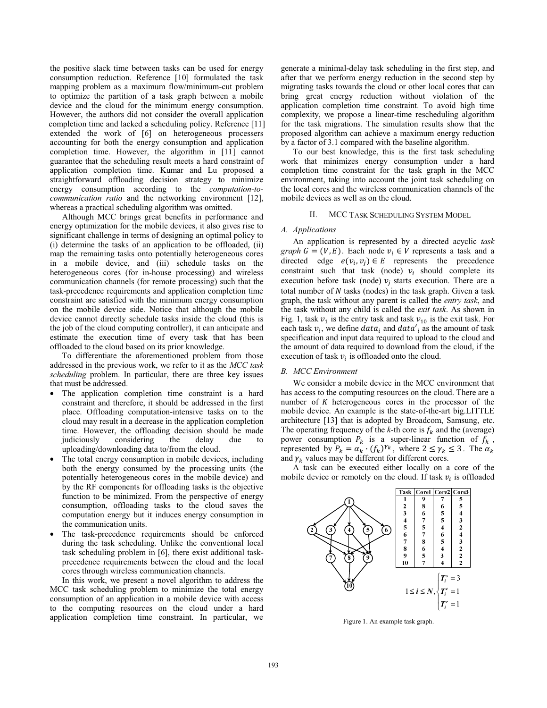the positive slack time between tasks can be used for energy consumption reduction. Reference [10] formulated the task mapping problem as a maximum flow/minimum-cut problem to optimize the partition of a task graph between a mobile device and the cloud for the minimum energy consumption. However, the authors did not consider the overall application completion time and lacked a scheduling policy. Reference [11] extended the work of [6] on heterogeneous processers accounting for both the energy consumption and application completion time. However, the algorithm in [11] cannot guarantee that the scheduling result meets a hard constraint of application completion time. Kumar and Lu proposed a straightforward offloading decision strategy to minimize energy consumption according to the *computation-tocommunication ratio* and the networking environment [12], whereas a practical scheduling algorithm was omitted.

Although MCC brings great benefits in performance and energy optimization for the mobile devices, it also gives rise to significant challenge in terms of designing an optimal policy to (i) determine the tasks of an application to be offloaded, (ii) map the remaining tasks onto potentially heterogeneous cores in a mobile device, and (iii) schedule tasks on the heterogeneous cores (for in-house processing) and wireless communication channels (for remote processing) such that the task-precedence requirements and application completion time constraint are satisfied with the minimum energy consumption on the mobile device side. Notice that although the mobile device cannot directly schedule tasks inside the cloud (this is the job of the cloud computing controller), it can anticipate and estimate the execution time of every task that has been offloaded to the cloud based on its prior knowledge.

To differentiate the aforementioned problem from those addressed in the previous work, we refer to it as the *MCC task scheduling* problem. In particular, there are three key issues that must be addressed.

- The application completion time constraint is a hard constraint and therefore, it should be addressed in the first place. Offloading computation-intensive tasks on to the cloud may result in a decrease in the application completion time. However, the offloading decision should be made<br>judiciously considering the delay due to considering the delay due to uploading/downloading data to/from the cloud.
- The total energy consumption in mobile devices, including both the energy consumed by the processing units (the potentially heterogeneous cores in the mobile device) and by the RF components for offloading tasks is the objective function to be minimized. From the perspective of energy consumption, offloading tasks to the cloud saves the computation energy but it induces energy consumption in the communication units.
- The task-precedence requirements should be enforced during the task scheduling. Unlike the conventional local task scheduling problem in [6], there exist additional taskprecedence requirements between the cloud and the local cores through wireless communication channels.

In this work, we present a novel algorithm to address the MCC task scheduling problem to minimize the total energy consumption of an application in a mobile device with access to the computing resources on the cloud under a hard application completion time constraint. In particular, we generate a minimal-delay task scheduling in the first step, and after that we perform energy reduction in the second step by migrating tasks towards the cloud or other local cores that can bring great energy reduction without violation of the application completion time constraint. To avoid high time complexity, we propose a linear-time rescheduling algorithm for the task migrations. The simulation results show that the proposed algorithm can achieve a maximum energy reduction by a factor of 3.1 compared with the baseline algorithm.

To our best knowledge, this is the first task scheduling work that minimizes energy consumption under a hard completion time constraint for the task graph in the MCC environment, taking into account the joint task scheduling on the local cores and the wireless communication channels of the mobile devices as well as on the cloud.

### II. MCC TASK SCHEDULING SYSTEM MODEL

#### *A. Applications*

An application is represented by a directed acyclic *task graph*  $G = (V, E)$ . Each node  $v_i \in V$  represents a task and a directed edge  $e(v_i, v_i) \in E$  represents the precedence constraint such that task (node)  $v_i$  should complete its execution before task (node)  $v_i$  starts execution. There are a total number of  $N$  tasks (nodes) in the task graph. Given a task graph, the task without any parent is called the *entry task*, and the task without any child is called the *exit task*. As shown in Fig. 1, task  $v_1$  is the entry task and task  $v_{10}$  is the exit task. For each task  $v_i$ , we define  $data_i$  and  $data'_i$  as the amount of task specification and input data required to upload to the cloud and the amount of data required to download from the cloud, if the execution of task  $v_i$  is offloaded onto the cloud.

#### *B. MCC Environment*

We consider a mobile device in the MCC environment that has access to the computing resources on the cloud. There are a number of  $K$  heterogeneous cores in the processor of the mobile device. An example is the state-of-the-art big.LITTLE architecture [13] that is adopted by Broadcom, Samsung, etc. The operating frequency of the  $k$ -th core is  $f_k$  and the (average) power consumption  $P_k$  is a super-linear function of  $f_k$ , represented by  $P_k = \alpha_k \cdot (f_k)^{\gamma_k}$ , where  $2 \le \gamma_k \le 3$ . The  $\alpha_k$ and  $\gamma_k$  values may be different for different cores.

A task can be executed either locally on a core of the mobile device or remotely on the cloud. If task  $v_i$  is offloaded



Figure 1. An example task graph.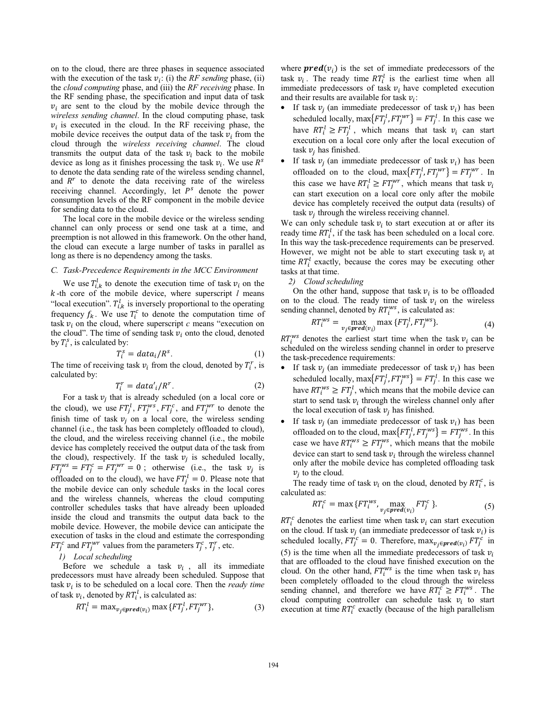on to the cloud, there are three phases in sequence associated with the execution of the task  $v_i$ : (i) the *RF sending* phase, (ii) the *cloud computing* phase, and (iii) the *RF receiving* phase. In the RF sending phase, the specification and input data of task  $v_i$  are sent to the cloud by the mobile device through the *wireless sending channel*. In the cloud computing phase, task  $v_i$  is executed in the cloud. In the RF receiving phase, the mobile device receives the output data of the task  $v_i$  from the cloud through the *wireless receiving channel*. The cloud transmits the output data of the task  $v_i$  back to the mobile device as long as it finishes processing the task  $v_i$ . We use  $R^s$ to denote the data sending rate of the wireless sending channel, and  $R<sup>r</sup>$  to denote the data receiving rate of the wireless receiving channel. Accordingly, let  $P<sup>s</sup>$  denote the power consumption levels of the RF component in the mobile device for sending data to the cloud.

The local core in the mobile device or the wireless sending channel can only process or send one task at a time, and preemption is not allowed in this framework. On the other hand, the cloud can execute a large number of tasks in parallel as long as there is no dependency among the tasks.

### *C. Task-Precedence Requirements in the MCC Environment*

We use  $T_{i,k}^l$  to denote the execution time of task  $v_i$  on the &-th core of the mobile device, where superscript *l* means "local execution".  $T_{i,k}^l$  is inversely proportional to the operating frequency  $f_k$ . We use  $T_i^c$  to denote the computation time of task  $v_i$  on the cloud, where superscript  $c$  means "execution on the cloud". The time of sending task  $v_i$  onto the cloud, denoted by  $T_i^s$ , is calculated by:

$$
T_i^s = data_i/R^s. \tag{1}
$$

The time of receiving task  $v_i$  from the cloud, denoted by  $T_i^r$ , is calculated by:

$$
T_i^r = data'_i / R^r. \tag{2}
$$

For a task  $v_j$  that is already scheduled (on a local core or the cloud), we use  $FT_i^l$ ,  $FT_i^{ws}$ ,  $FT_i^c$ , and  $FT_i^{wr}$  to denote the finish time of task  $v_i$  on a local core, the wireless sending channel (i.e., the task has been completely offloaded to cloud), the cloud, and the wireless receiving channel (i.e., the mobile device has completely received the output data of the task from the cloud), respectively. If the task  $v_i$  is scheduled locally,  $FT_i^{ws} = FT_i^c = FT_i^{wr} = 0$ ; otherwise (i.e., the task  $v_i$  is offloaded on to the cloud), we have  $FT_i^1 = 0$ . Please note that the mobile device can only schedule tasks in the local cores and the wireless channels, whereas the cloud computing controller schedules tasks that have already been uploaded inside the cloud and transmits the output data back to the mobile device. However, the mobile device can anticipate the execution of tasks in the cloud and estimate the corresponding  $FT_i^c$  and  $FT_i^{wr}$  values from the parameters  $T_i^c$ ,  $T_i^r$ , etc.

*1) Local scheduling* 

Before we schedule a task  $v_i$ , all its immediate predecessors must have already been scheduled. Suppose that task  $v_i$  is to be scheduled on a local core. Then the *ready time* of task  $v_i$ , denoted by  $RT_i^l$ , is calculated as:

$$
RT_i^l = \max_{v_j \in pred(v_i)} \max \{ FT_j^l, FT_j^{wr} \},\tag{3}
$$

where  $pred(v_i)$  is the set of immediate predecessors of the task  $v_i$ . The ready time  $RT_i^l$  is the earliest time when all immediate predecessors of task  $v_i$  have completed execution and their results are available for task  $v_i$ :

- If task  $v_i$  (an immediate predecessor of task  $v_i$ ) has been scheduled locally,  $\max\{FT_i^l, FT_j^{wr}\} = FT_i^l$ . In this case we have  $RT_i^l \geq FT_j^l$ , which means that task  $v_i$  can start execution on a local core only after the local execution of task  $v_i$  has finished.
- If task  $v_i$  (an immediate predecessor of task  $v_i$ ) has been offloaded on to the cloud,  $\max\{FT_i^l, FT_i^{wr}\} = FT_i^{wr}$ . In this case we have  $RT_i^l \geq FT_j^{wr}$ , which means that task  $v_i$ can start execution on a local core only after the mobile device has completely received the output data (results) of task  $v_i$  through the wireless receiving channel.

We can only schedule task  $v_i$  to start execution at or after its ready time  $RT_i^l$ , if the task has been scheduled on a local core. In this way the task-precedence requirements can be preserved. However, we might not be able to start executing task  $v_i$  at time  $RT_i^i$  exactly, because the cores may be executing other tasks at that time.

# *2) Cloud scheduling*

 $\boldsymbol{R}$ 

On the other hand, suppose that task  $v_i$  is to be offloaded on to the cloud. The ready time of task  $v_i$  on the wireless sending channel, denoted by  $RT_i^{ws}$ , is calculated as:

$$
T_i^{ws} = \max_{v_j \in \text{pred}(v_i)} \max \{ FT_j^l, FT_j^{ws} \}. \tag{4}
$$

 $RT_i^{ws}$  denotes the earliest start time when the task  $v_i$  can be scheduled on the wireless sending channel in order to preserve the task-precedence requirements:

- If task  $v_i$  (an immediate predecessor of task  $v_i$ ) has been scheduled locally,  $\max\{FT_i^l, FT_i^{ws}\} = FT_i^l$ . In this case we have  $RT_i^{ws} \geq FT_i^l$ , which means that the mobile device can start to send task  $v_i$  through the wireless channel only after the local execution of task  $v_i$  has finished.
- If task  $v_i$  (an immediate predecessor of task  $v_i$ ) has been offloaded on to the cloud,  $\max\{FT_i^l, FT_i^{ws}\} = FT_i^{ws}$ . In this case we have  $RT_i^{ws} \geq FT_j^{ws}$ , which means that the mobile device can start to send task  $v_i$  through the wireless channel only after the mobile device has completed offloading task  $v_i$  to the cloud.

The ready time of task  $v_i$  on the cloud, denoted by  $RT_i^c$ , is calculated as:

$$
RT_i^c = \max \left\{ FT_i^{ws}, \max_{v_j \in pred(v_i)} FT_j^c \right\}.
$$
 (5)

 $RT_i^c$  denotes the earliest time when task  $v_i$  can start execution on the cloud. If task  $v_i$  (an immediate predecessor of task  $v_i$ ) is scheduled locally,  $FT_j^c = 0$ . Therefore,  $\max_{v_j \in pred(v_i)} FT_j^c$  in (5) is the time when all the immediate predecessors of task  $v_i$  that are offloaded to the cloud have finished execution on the cloud. On the other hand,  $FT_i^{ws}$  is the time when task  $v_i$  has been completely offloaded to the cloud through the wireless sending channel, and therefore we have  $RT_i^c \geq FT_i^{ws}$ . The cloud computing controller can schedule task  $v_i$  to start execution at time  $RT_i^c$  exactly (because of the high parallelism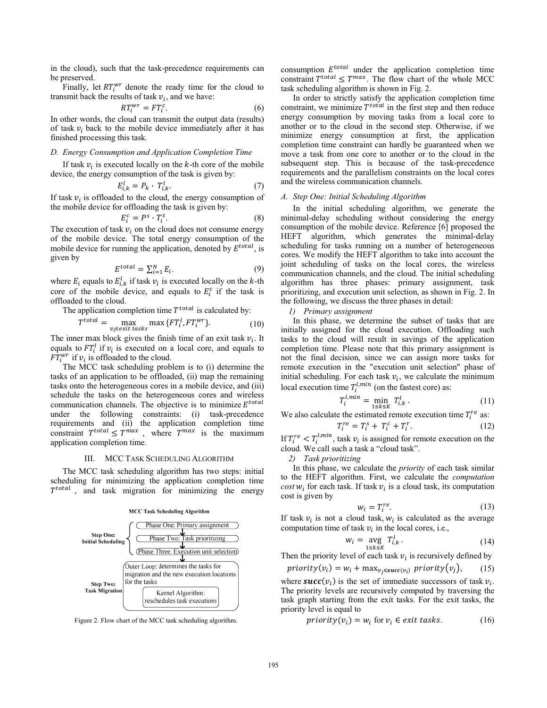in the cloud), such that the task-precedence requirements can be preserved.

Finally, let  $RT_i^{wr}$  denote the ready time for the cloud to transmit back the results of task  $v_i$ , and we have:

$$
RT_i^{wr} = FT_i^c.
$$
 (6)

In other words, the cloud can transmit the output data (results) of task  $v_i$  back to the mobile device immediately after it has finished processing this task.

# *D. Energy Consumption and Application Completion Time*

If task  $v_i$  is executed locally on the  $k$ -th core of the mobile device, the energy consumption of the task is given by:

$$
E_{i,k}^l = P_k \cdot T_{i,k}^l. \tag{7}
$$

If task  $v_i$  is offloaded to the cloud, the energy consumption of the mobile device for offloading the task is given by:

$$
E_i^c = P^s \cdot T_i^s. \tag{8}
$$

The execution of task  $v_i$  on the cloud does not consume energy of the mobile device. The total energy consumption of the mobile device for running the application, denoted by  $E^{total}$ , is given by

$$
E^{total} = \sum_{i=1}^{N} E_i.
$$
 (9)

where  $E_i$  equals to  $E_{i,k}^l$  if task  $v_i$  is executed locally on the k-th core of the mobile device, and equals to  $E_i^c$  if the task is offloaded to the cloud.

The application completion time  $T^{total}$  is calculated by:

$$
Ttotal = \max_{v_i \in exit \; tasks} \max \{ FT_i^l, FT_i^{wr} \}. \tag{10}
$$

The inner max block gives the finish time of an exit task  $v_i$ . It equals to  $FT_i^l$  if  $v_i$  is executed on a local core, and equals to  $F T_i^{wr}$  if  $v_i$  is offloaded to the cloud.

The MCC task scheduling problem is to (i) determine the tasks of an application to be offloaded, (ii) map the remaining tasks onto the heterogeneous cores in a mobile device, and (iii) schedule the tasks on the heterogeneous cores and wireless communication channels. The objective is to minimize  $E^{total}$ under the following constraints: (i) task-precedence requirements and (ii) the application completion time constraint  $T^{total} \leq T^{max}$ , where  $T^{max}$  is the maximum application completion time.

#### III. MCC TASK SCHEDULING ALGORITHM

The MCC task scheduling algorithm has two steps: initial scheduling for minimizing the application completion time  $T<sup>total</sup>$ , and task migration for minimizing the energy





consumption  $E^{total}$  under the application completion time constraint  $T^{total} \leq T^{max}$ . The flow chart of the whole MCC task scheduling algorithm is shown in Fig. 2.

In order to strictly satisfy the application completion time constraint, we minimize  $T<sup>total</sup>$  in the first step and then reduce energy consumption by moving tasks from a local core to another or to the cloud in the second step. Otherwise, if we minimize energy consumption at first, the application completion time constraint can hardly be guaranteed when we move a task from one core to another or to the cloud in the subsequent step. This is because of the task-precedence requirements and the parallelism constraints on the local cores and the wireless communication channels.

## *A. Step One: Initial Scheduling Algorithm*

In the initial scheduling algorithm, we generate the minimal-delay scheduling without considering the energy consumption of the mobile device. Reference [6] proposed the HEFT algorithm, which generates the minimal-delay scheduling for tasks running on a number of heterogeneous cores. We modify the HEFT algorithm to take into account the joint scheduling of tasks on the local cores, the wireless communication channels, and the cloud. The initial scheduling algorithm has three phases: primary assignment, task prioritizing, and execution unit selection, as shown in Fig. 2. In the following, we discuss the three phases in detail:

*1) Primary assignment* 

In this phase, we determine the subset of tasks that are initially assigned for the cloud execution. Offloading such tasks to the cloud will result in savings of the application completion time. Please note that this primary assignment is not the final decision, since we can assign more tasks for remote execution in the "execution unit selection" phase of initial scheduling. For each task  $v_i$ , we calculate the minimum local execution time  $T_i^{l,min}$  (on the fastest core) as:

$$
T_i^{l,min} = \min_{1 \le k \le K} T_{i,k}^l. \tag{11}
$$

We also calculate the estimated remote execution time  $T_i^{re}$  as:

$$
t_i^{\rm re} = T_i^{\rm s} + T_i^{\rm c} + T_i^{\rm r}.\tag{12}
$$

If  $T_i^{re} < T_i^{l,min}$ , task  $v_i$  is assigned for remote execution on the cloud. We call such a task a "cloud task".

*2) Task prioritizing* 

 $T_i^r$ 

In this phase, we calculate the *priority* of each task similar to the HEFT algorithm. First, we calculate the *computation cost*  $w_i$  for each task. If task  $v_i$  is a cloud task, its computation cost is given by

$$
w_i = T_i^{re}.\tag{13}
$$

If task  $v_i$  is not a cloud task,  $w_i$  is calculated as the average computation time of task  $v_i$  in the local cores, i.e.,

$$
w_i = \underset{1 \le k \le K}{\text{avg}} T_{i,k}^l. \tag{14}
$$

Then the priority level of each task  $v_i$  is recursively defined by

$$
priority(v_i) = w_i + \max_{v_j \in succ(v_i)} priority(v_j), \qquad (15)
$$

where  $succ(v_i)$  is the set of immediate successors of task  $v_i$ . The priority levels are recursively computed by traversing the task graph starting from the exit tasks. For the exit tasks, the priority level is equal to

$$
priority(v_i) = w_i \text{ for } v_i \in exit \text{ tasks.} \tag{16}
$$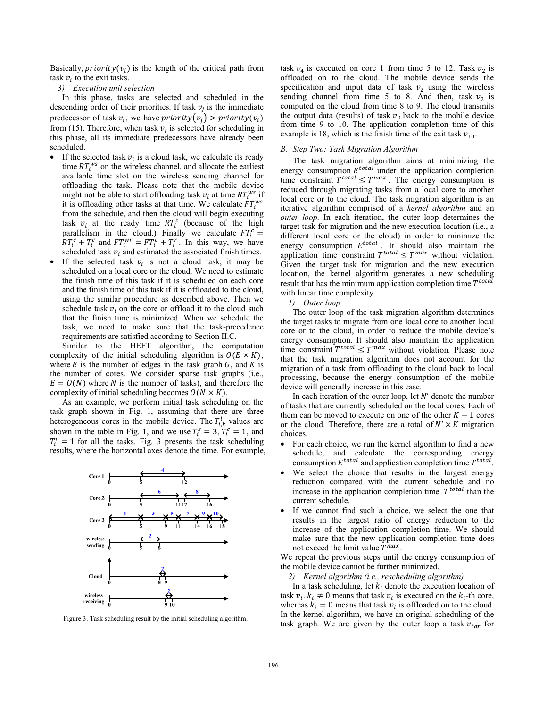Basically,  $priority(v_i)$  is the length of the critical path from task  $v_i$  to the exit tasks.

*3) Execution unit selection* 

In this phase, tasks are selected and scheduled in the descending order of their priorities. If task  $v_j$  is the immediate predecessor of task  $v_i$ , we have priority $(v_i)$  > priority $(v_i)$ from (15). Therefore, when task  $v_i$  is selected for scheduling in this phase, all its immediate predecessors have already been scheduled.

- If the selected task  $v_i$  is a cloud task, we calculate its ready time  $RT_i^{ws}$  on the wireless channel, and allocate the earliest available time slot on the wireless sending channel for offloading the task. Please note that the mobile device might not be able to start offloading task  $v_i$  at time  $RT_i^{ws}$  if it is offloading other tasks at that time. We calculate  $FT_i^{ws}$ from the schedule, and then the cloud will begin executing task  $v_i$  at the ready time  $RT_i^c$  (because of the high parallelism in the cloud.) Finally we calculate  $FT_i^c =$  $RT_i^c + T_i^c$  and  $FT_i^{wr} = FT_i^c + T_i^r$ . In this way, we have scheduled task  $v_i$  and estimated the associated finish times.
- If the selected task  $v_i$  is not a cloud task, it may be scheduled on a local core or the cloud. We need to estimate the finish time of this task if it is scheduled on each core and the finish time of this task if it is offloaded to the cloud, using the similar procedure as described above. Then we schedule task  $v_i$  on the core or offload it to the cloud such that the finish time is minimized. When we schedule the task, we need to make sure that the task-precedence requirements are satisfied according to Section II.C.

Similar to the HEFT algorithm, the computation complexity of the initial scheduling algorithm is  $O(E \times K)$ , where  $E$  is the number of edges in the task graph  $G$ , and  $K$  is the number of cores. We consider sparse task graphs (i.e.,  $E = O(N)$  where N is the number of tasks), and therefore the complexity of initial scheduling becomes  $O ( N \times K )$ .

As an example, we perform initial task scheduling on the task graph shown in Fig. 1, assuming that there are three heterogeneous cores in the mobile device. The  $T_{i,k}^l$  values are shown in the table in Fig. 1, and we use  $T_i^s = 3$ ,  $T_i^c = 1$ , and  $T_i^r = 1$  for all the tasks. Fig. 3 presents the task scheduling results, where the horizontal axes denote the time. For example,



Figure 3. Task scheduling result by the initial scheduling algorithm.

task  $v_4$  is executed on core 1 from time 5 to 12. Task  $v_2$  is offloaded on to the cloud. The mobile device sends the specification and input data of task  $v_2$  using the wireless sending channel from time 5 to 8. And then, task  $v_2$  is computed on the cloud from time 8 to 9. The cloud transmits the output data (results) of task  $v_2$  back to the mobile device from time 9 to 10. The application completion time of this example is 18, which is the finish time of the exit task  $v_{10}$ .

### *B. Step Two: Task Migration Algorithm*

The task migration algorithm aims at minimizing the energy consumption  $E^{total}$  under the application completion time constraint  $T^{total} \leq T^{max}$ . The energy consumption is reduced through migrating tasks from a local core to another local core or to the cloud. The task migration algorithm is an iterative algorithm comprised of a *kernel algorithm* and an *outer loop*. In each iteration, the outer loop determines the target task for migration and the new execution location (i.e., a different local core or the cloud) in order to minimize the energy consumption  $E^{total}$ . It should also maintain the application time constraint  $T^{total} \leq T^{max}$  without violation. Given the target task for migration and the new execution location, the kernel algorithm generates a new scheduling result that has the minimum application completion time  $T<sup>total</sup>$ with linear time complexity.

#### *1) Outer loop*

The outer loop of the task migration algorithm determines the target tasks to migrate from one local core to another local core or to the cloud, in order to reduce the mobile device's energy consumption. It should also maintain the application time constraint  $T^{total} \leq T^{max}$  without violation. Please note that the task migration algorithm does not account for the migration of a task from offloading to the cloud back to local processing, because the energy consumption of the mobile device will generally increase in this case.

In each iteration of the outer loop, let  $N'$  denote the number of tasks that are currently scheduled on the local cores. Each of them can be moved to execute on one of the other  $K - 1$  cores or the cloud. Therefore, there are a total of  $N' \times K$  migration choices.

- For each choice, we run the kernel algorithm to find a new schedule, and calculate the corresponding energy consumption  $E^{total}$  and application completion time  $T^{total}$ .
- We select the choice that results in the largest energy reduction compared with the current schedule and no increase in the application completion time  $T<sup>total</sup>$  than the current schedule.
- If we cannot find such a choice, we select the one that results in the largest ratio of energy reduction to the increase of the application completion time. We should make sure that the new application completion time does not exceed the limit value  $\overline{T}^{max}$ .

We repeat the previous steps until the energy consumption of the mobile device cannot be further minimized.

*2) Kernel algorithm (i.e., rescheduling algorithm)* 

In a task scheduling, let  $k_i$  denote the execution location of task  $v_i$ .  $k_i \neq 0$  means that task  $v_i$  is executed on the  $k_i$ -th core, whereas  $k_i = 0$  means that task  $v_i$  is offloaded on to the cloud. In the kernel algorithm, we have an original scheduling of the task graph. We are given by the outer loop a task  $v_{tar}$  for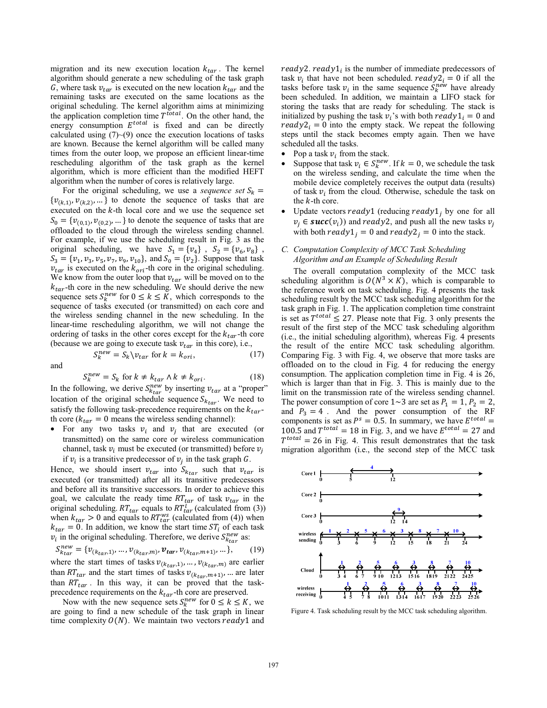migration and its new execution location  $k_{tar}$ . The kernel algorithm should generate a new scheduling of the task graph G, where task  $v_{tar}$  is executed on the new location  $k_{tar}$  and the remaining tasks are executed on the same locations as the original scheduling. The kernel algorithm aims at minimizing the application completion time  $T^{total}$ . On the other hand, the  $\frac{1}{2}$  energy consumption  $E^{total}$  is fixed and can be directly calculated using  $(7)~(9)$  once the execution locations of tasks are known. Because the kernel algorithm will be called many times from the outer loop, we propose an efficient linear-time rescheduling algorithm of the task graph as the kernel algorithm, which is more efficient than the modified HEFT algorithm when the number of cores is relatively large.

For the original scheduling, we use a *sequence set*  $S_k$  =  $\{v_{(k,1)}, v_{(k,2)}, ...\}$  to denote the sequence of tasks that are executed on the  $k$ -th local core and we use the sequence set  $S_0 = \{v_{(0,1)}, v_{(0,2)}, \dots\}$  to denote the sequence of tasks that are offloaded to the cloud through the wireless sending channel. For example, if we use the scheduling result in Fig. 3 as the original scheduling, we have  $S_1 = \{v_4\}$ ,  $S_2 = \{v_6, v_8\}$ ,  $S_3 = \{v_1, v_3, v_5, v_7, v_9, v_{10}\}\$ , and  $S_0 = \{v_2\}$ . Suppose that task  $v_{tar}$  is executed on the  $k_{ori}$ -th core in the original scheduling. We know from the outer loop that  $v_{tar}$  will be moved on to the  $k_{tar}$ -th core in the new scheduling. We should derive the new sequence sets  $S_k^{new}$  for  $0 \le k \le K$ , which corresponds to the sequence of tasks executed (or transmitted) on each core and the wireless sending channel in the new scheduling. In the linear-time rescheduling algorithm, we will not change the ordering of tasks in the other cores except for the  $k_{tar}$ -th core (because we are going to execute task  $v_{tar}$  in this core), i.e.,

and

$$
S_k^{new} = S_k \text{ for } k \neq k_{tar} \land k \neq k_{ori}. \tag{18}
$$

In the following, we derive  $S_{k_{tar}}^{new}$  by inserting  $v_{tar}$  at a "proper" location of the original schedule sequence  $S_{k_{tar}}$ . We need to satisfy the following task-precedence requirements on the  $k_{tar}$ th core ( $k_{tar} = 0$  means the wireless sending channel):

 $S_k^{new} = S_k \backslash v_{tar}$  for  $k = k_{ori}$ 

• For any two tasks  $v_i$  and  $v_j$  that are executed (or transmitted) on the same core or wireless communication channel, task  $v_i$  must be executed (or transmitted) before  $v_i$ if  $v_i$  is a transitive predecessor of  $v_i$  in the task graph G.

Hence, we should insert  $v_{tar}$  into  $S_{k_{tar}}$  such that  $v_{tar}$  is executed (or transmitted) after all its transitive predecessors and before all its transitive successors. In order to achieve this goal, we calculate the ready time  $RT_{tar}$  of task  $v_{tar}$  in the original scheduling.  $RT_{tar}$  equals to  $RT_{tar}^{l'}$  (calculated from (3)) when  $k_{tar} > 0$  and equals to  $RT_{tar}^{ws}$  (calculated from (4)) when  $k_{tar} = 0$ . In addition, we know the start time  $ST_i$  of each task  $v_i$  in the original scheduling. Therefore, we derive  $S_{k_{tar}}^{new}$  as:

$$
S_{k_{tar}}^{new} = \{v_{(k_{tar},1)}, \dots, v_{(k_{tar},m)}, v_{tar}, v_{(k_{tar},m+1)}, \dots\},\qquad(19)
$$

where the start times of tasks  $v_{(k_{tar},1)}, \ldots, v_{(k_{tar},m)}$  are earlier than  $RT_{tar}$  and the start times of tasks  $v_{(k_{tar}, m+1)}$ , ... are later than  $RT_{tar}$ . In this way, it can be proved that the taskprecedence requirements on the  $k_{tar}$ -th core are preserved.

Now with the new sequence sets  $S_k^{new}$  for  $0 \le k \le K$ , we are going to find a new schedule of the task graph in linear time complexity  $O(N)$ . We maintain two vectors ready1 and

 $ready2. ready1<sub>i</sub>$  is the number of immediate predecessors of task  $v_i$  that have not been scheduled.  $ready2_i = 0$  if all the tasks before task  $v_i$  in the same sequence  $S_k^{new}$  have already been scheduled. In addition, we maintain a LIFO stack for storing the tasks that are ready for scheduling. The stack is initialized by pushing the task  $v_i$ 's with both  $ready1_i = 0$  and  $ready2_i = 0$  into the empty stack. We repeat the following steps until the stack becomes empty again. Then we have scheduled all the tasks.

- Pop a task  $v_i$  from the stack.
- Suppose that task  $v_i \in S_k^{new}$ . If  $k = 0$ , we schedule the task on the wireless sending, and calculate the time when the mobile device completely receives the output data (results) of task  $v_i$  from the cloud. Otherwise, schedule the task on the &-th core.
- Update vectors ready1 (reducing ready1<sub>i</sub> by one for all  $v_i \in succ(v_i)$ ) and ready2, and push all the new tasks  $v_i$ with both  $ready1_i = 0$  and  $ready2_i = 0$  into the stack.

# *C. Computation Complexity of MCC Task Scheduling Algorithm and an Example of Scheduling Result*

The overall computation complexity of the MCC task scheduling algorithm is  $O(N^3 \times K)$ , which is comparable to the reference work on task scheduling. Fig. 4 presents the task scheduling result by the MCC task scheduling algorithm for the task graph in Fig. 1. The application completion time constraint is set as  $T^{total} \le 27$ . Please note that Fig. 3 only presents the result of the first step of the MCC task scheduling algorithm (i.e., the initial scheduling algorithm), whereas Fig. 4 presents the result of the entire MCC task scheduling algorithm. Comparing Fig. 3 with Fig. 4, we observe that more tasks are offloaded on to the cloud in Fig. 4 for reducing the energy consumption. The application completion time in Fig. 4 is 26, which is larger than that in Fig. 3. This is mainly due to the limit on the transmission rate of the wireless sending channel. The power consumption of core  $1 \sim 3$  are set as  $P_1 = 1, P_2 = 2,$ and  $P_3 = 4$ . And the power consumption of the RF components is set as  $P^s = 0.5$ . In summary, we have  $E^{total} =$ 100.5 and  $T^{total} = 18$  in Fig. 3, and we have  $E^{total} = 27$  and  $T<sup>total</sup> = 26$  in Fig. 4. This result demonstrates that the task migration algorithm (i.e., the second step of the MCC task



Figure 4. Task scheduling result by the MCC task scheduling algorithm.

 $(17)$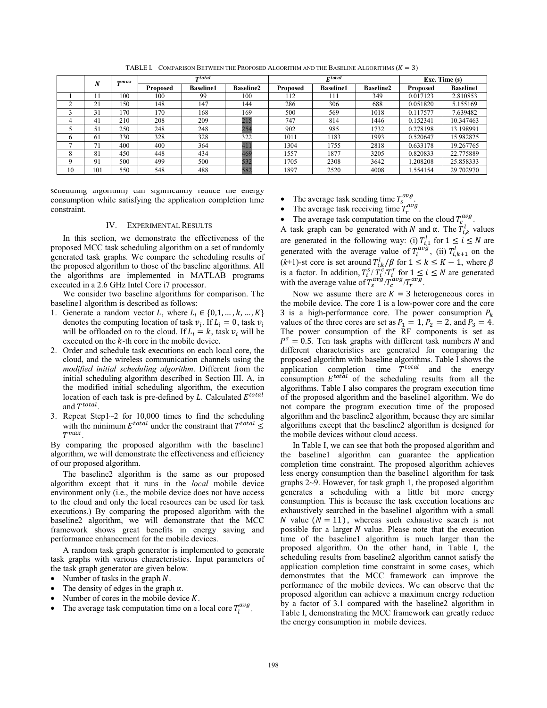TABLE I. COMPARISON BETWEEN THE PROPOSED ALGORITHM AND THE BASELINE ALGORITHMS  $(K = 3)$ 

|    | N   | $\boldsymbol{\tau}$ max | $\boldsymbol{\tau}$ total |                  |                  | $_{\Gamma}$ total |                  |                  | Exe. Time (s) |                  |
|----|-----|-------------------------|---------------------------|------------------|------------------|-------------------|------------------|------------------|---------------|------------------|
|    |     |                         | Proposed                  | <b>Baseline1</b> | <b>Baseline2</b> | Proposed          | <b>Baseline1</b> | <b>Baseline2</b> | Proposed      | <b>Baseline1</b> |
|    |     | 100                     | 100                       | 99               | 100              | 112               | 111              | 349              | 0.017123      | 2.810853         |
| ◠  | 21  | 150                     | 148                       | 147              | 144              | 286               | 306              | 688              | 0.051820      | 5.155169         |
|    | 31  | 170                     | 170                       | 168              | 169              | 500               | 569              | 1018             | 0.117577      | 7.639482         |
| 4  | 41  | 210                     | 208                       | 209              | 215              | 747               | 814              | 1446             | 0.152341      | 10.347463        |
|    | 51  | 250                     | 248                       | 248              | 254              | 902               | 985              | 1732             | 0.278198      | 13.198991        |
| 6  | 61  | 330                     | 328                       | 328              | 322              | 1011              | 1183             | 1993             | 0.520647      | 15.982825        |
|    |     | 400                     | 400                       | 364              | 411              | 1304              | 1755             | 2818             | 0.633178      | 19.267765        |
| 8  | 81  | 450                     | 448                       | 434              | 469              | 1557              | 1877             | 3205             | 0.820833      | 22.775889        |
| 9  | 91  | 500                     | 499                       | 500              | 532              | 1705              | 2308             | 3642             | 1.208208      | 25.858333        |
| 10 | 101 | 550                     | 548                       | 488              | 582              | 1897              | 2520             | 4008             | 1.554154      | 29.702970        |

scheduling algorithm) can significantly reduce the energy consumption while satisfying the application completion time constraint.

#### IV. EXPERIMENTAL RESULTS

In this section, we demonstrate the effectiveness of the proposed MCC task scheduling algorithm on a set of randomly generated task graphs. We compare the scheduling results of the proposed algorithm to those of the baseline algorithms. All the algorithms are implemented in MATLAB programs executed in a 2.6 GHz Intel Core i7 processor.

We consider two baseline algorithms for comparison. The baseline1 algorithm is described as follows:

- 1. Generate a random vector L, where  $L_i \in \{0, 1, ..., k, ..., K\}$ denotes the computing location of task  $v_i$ . If  $L_i = 0$ , task  $v_i$ will be offloaded on to the cloud. If  $L_i = k$ , task  $v_i$  will be executed on the &-th core in the mobile device.
- 2. Order and schedule task executions on each local core, the cloud, and the wireless communication channels using the *modified initial scheduling algorithm*. Different from the initial scheduling algorithm described in Section III. A, in the modified initial scheduling algorithm, the execution location of each task is pre-defined by  $L$ . Calculated  $E^{total}$ and  $T^{total}$ .
- 3. Repeat Step1 $\sim$ 2 for 10,000 times to find the scheduling with the minimum  $E^{total}$  under the constraint that  $T^{total} \leq$  $T^{max}$

By comparing the proposed algorithm with the baseline1 algorithm, we will demonstrate the effectiveness and efficiency of our proposed algorithm.

The baseline2 algorithm is the same as our proposed algorithm except that it runs in the *local* mobile device environment only (i.e., the mobile device does not have access to the cloud and only the local resources can be used for task executions.) By comparing the proposed algorithm with the baseline2 algorithm, we will demonstrate that the MCC framework shows great benefits in energy saving and performance enhancement for the mobile devices.

A random task graph generator is implemented to generate task graphs with various characteristics. Input parameters of the task graph generator are given below.

- Number of tasks in the graph  $N$ .
- The density of edges in the graph  $\alpha$ .
- Number of cores in the mobile device  $K$ .
- The average task computation time on a local core  $T_l^{avg}$ .
- The average task sending time  $T_s^{avg}$ .
- The average task receiving time  $T_r^{avg}$ .
- The average task computation time on the cloud  $T_c^{avg}$ .

A task graph can be generated with N and  $\alpha$ . The  $T_{i,k}^l$  values are generated in the following way: (i)  $T_{i,1}^l$  for  $1 \le i \le N$  are generated with the average value of  $T_l^{avg}$ , (ii)  $T_{i,k+1}^l$  on the  $(k+1)$ -st core is set around  $T_{i,k}^l/\beta$  for  $1 \leq k \leq K-1$ , where  $\beta$ is a factor. In addition,  $T_i^s / T_i^c / T_i^r$  for  $1 \le i \le N$  are generated with the average value of  $T_s^{avg}/T_c^{avg}/T_r^{avg}$ .

Now we assume there are  $K = 3$  heterogeneous cores in the mobile device. The core 1 is a low-power core and the core 3 is a high-performance core. The power consumption  $P_k$ values of the three cores are set as  $P_1 = 1$ ,  $P_2 = 2$ , and  $P_3 = 4$ . The power consumption of the RF components is set as  $P<sup>s</sup> = 0.5$ . Ten task graphs with different task numbers N and different characteristics are generated for comparing the proposed algorithm with baseline algorithms. Table I shows the application completion time  $\overline{T}^{total}$  and the energy consumption  $E^{total}$  of the scheduling results from all the algorithms. Table I also compares the program execution time of the proposed algorithm and the baseline1 algorithm. We do not compare the program execution time of the proposed algorithm and the baseline2 algorithm, because they are similar algorithms except that the baseline2 algorithm is designed for the mobile devices without cloud access.

In Table I, we can see that both the proposed algorithm and the baseline1 algorithm can guarantee the application completion time constraint. The proposed algorithm achieves less energy consumption than the baseline1 algorithm for task graphs 2~9. However, for task graph 1, the proposed algorithm generates a scheduling with a little bit more energy consumption. This is because the task execution locations are exhaustively searched in the baseline1 algorithm with a small N value  $(N = 11)$ , whereas such exhaustive search is not possible for a larger  $N$  value. Please note that the execution time of the baseline1 algorithm is much larger than the proposed algorithm. On the other hand, in Table I, the scheduling results from baseline2 algorithm cannot satisfy the application completion time constraint in some cases, which demonstrates that the MCC framework can improve the performance of the mobile devices. We can observe that the proposed algorithm can achieve a maximum energy reduction by a factor of 3.1 compared with the baseline2 algorithm in Table I, demonstrating the MCC framework can greatly reduce the energy consumption in mobile devices.